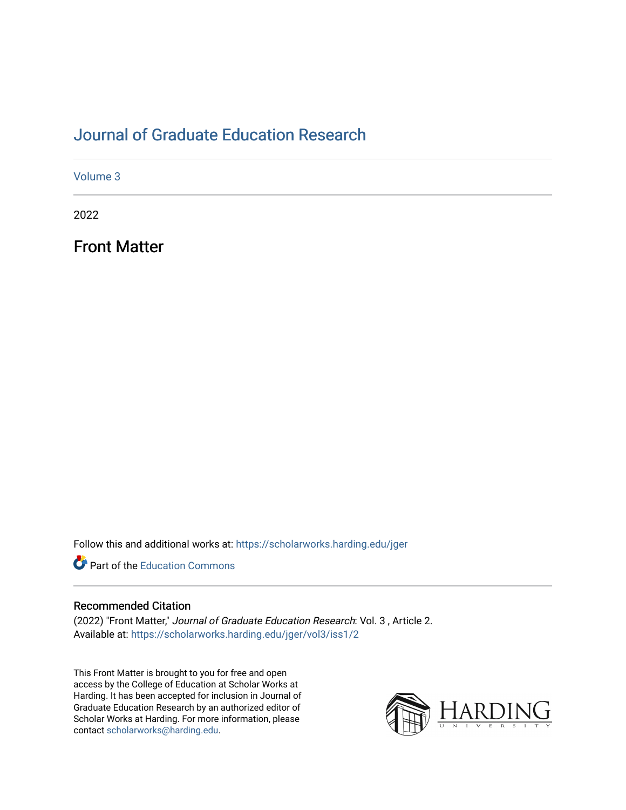# [Journal of Graduate Education Research](https://scholarworks.harding.edu/jger)

[Volume 3](https://scholarworks.harding.edu/jger/vol3)

2022

Front Matter

Follow this and additional works at: [https://scholarworks.harding.edu/jger](https://scholarworks.harding.edu/jger?utm_source=scholarworks.harding.edu%2Fjger%2Fvol3%2Fiss1%2F2&utm_medium=PDF&utm_campaign=PDFCoverPages) 

**P** Part of the [Education Commons](http://network.bepress.com/hgg/discipline/784?utm_source=scholarworks.harding.edu%2Fjger%2Fvol3%2Fiss1%2F2&utm_medium=PDF&utm_campaign=PDFCoverPages)

#### Recommended Citation

(2022) "Front Matter," Journal of Graduate Education Research: Vol. 3 , Article 2. Available at: [https://scholarworks.harding.edu/jger/vol3/iss1/2](https://scholarworks.harding.edu/jger/vol3/iss1/2?utm_source=scholarworks.harding.edu%2Fjger%2Fvol3%2Fiss1%2F2&utm_medium=PDF&utm_campaign=PDFCoverPages)

This Front Matter is brought to you for free and open access by the College of Education at Scholar Works at Harding. It has been accepted for inclusion in Journal of Graduate Education Research by an authorized editor of Scholar Works at Harding. For more information, please contact [scholarworks@harding.edu.](mailto:scholarworks@harding.edu)

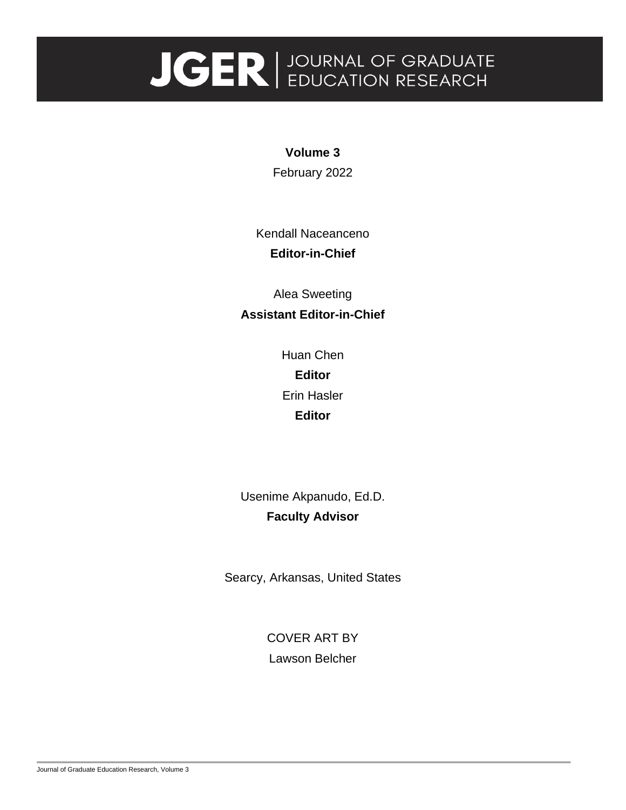# **JGER** BUCATION RESEARCH

**Volume 3** February 2022

Kendall Naceanceno **Editor-in-Chief**

Alea Sweeting **Assistant Editor-in-Chief**

> Huan Chen **Editor** Erin Hasler **Editor**

Usenime Akpanudo, Ed.D. **Faculty Advisor**

Searcy, Arkansas, United States

COVER ART BY Lawson Belcher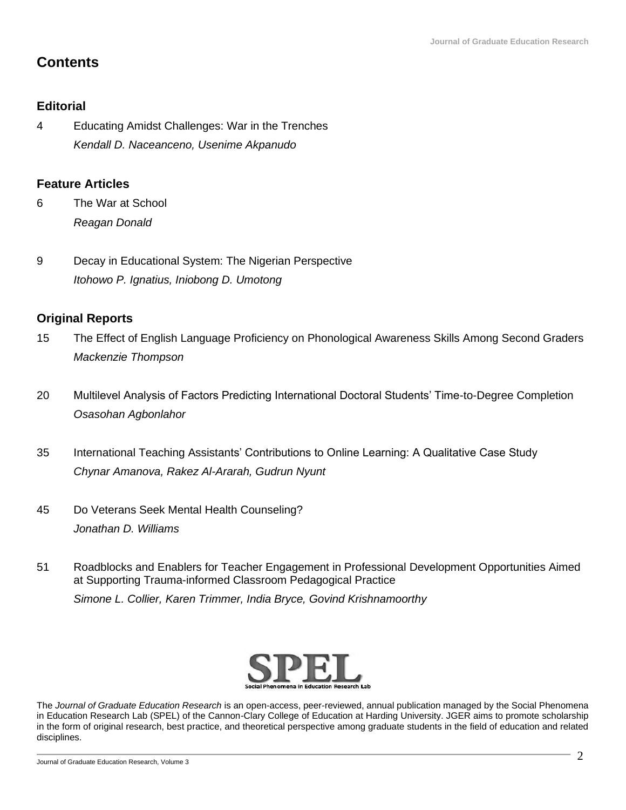# **Contents**

### **Editorial**

4 Educating Amidst Challenges: War in the Trenches *Kendall D. Naceanceno, Usenime Akpanudo* 

#### **Feature Articles**

- 6 The War at School *Reagan Donald*
- 9 Decay in Educational System: The Nigerian Perspective *Itohowo P. Ignatius, Iniobong D. Umotong*

## **Original Reports**

- 15 The Effect of English Language Proficiency on Phonological Awareness Skills Among Second Graders *Mackenzie Thompson*
- 20 Multilevel Analysis of Factors Predicting International Doctoral Students' Time-to-Degree Completion *Osasohan Agbonlahor*
- 35 International Teaching Assistants' Contributions to Online Learning: A Qualitative Case Study *Chynar Amanova, Rakez Al-Ararah, Gudrun Nyunt*
- 45 Do Veterans Seek Mental Health Counseling? *Jonathan D. Williams*
- 51 Roadblocks and Enablers for Teacher Engagement in Professional Development Opportunities Aimed at Supporting Trauma-informed Classroom Pedagogical Practice *Simone L. Collier, Karen Trimmer, India Bryce, Govind Krishnamoorthy*



The *Journal of Graduate Education Research* is an open-access, peer-reviewed, annual publication managed by the Social Phenomena in Education Research Lab (SPEL) of the Cannon-Clary College of Education at Harding University. JGER aims to promote scholarship in the form of original research, best practice, and theoretical perspective among graduate students in the field of education and related disciplines.